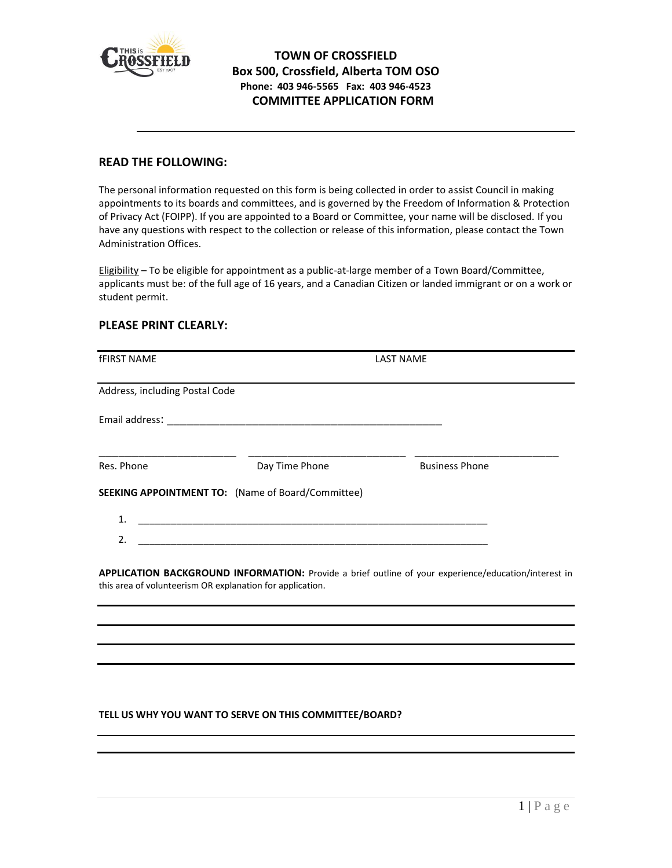

## **TOWN OF CROSSFIELD Box 500, Crossfield, Alberta TOM OSO Phone: 403 946-5565 Fax: 403 946-4523 COMMITTEE APPLICATION FORM**

## **READ THE FOLLOWING:**

The personal information requested on this form is being collected in order to assist Council in making appointments to its boards and committees, and is governed by the Freedom of Information & Protection of Privacy Act (FOIPP). If you are appointed to a Board or Committee, your name will be disclosed. If you have any questions with respect to the collection or release of this information, please contact the Town Administration Offices.

Eligibility – To be eligible for appointment as a public-at-large member of a Town Board/Committee, applicants must be: of the full age of 16 years, and a Canadian Citizen or landed immigrant or on a work or student permit.

## **PLEASE PRINT CLEARLY:**

| <b>fFIRST NAME</b>             |                                                           | <b>LAST NAME</b>                                                                                     |
|--------------------------------|-----------------------------------------------------------|------------------------------------------------------------------------------------------------------|
| Address, including Postal Code |                                                           |                                                                                                      |
|                                |                                                           |                                                                                                      |
| Res. Phone                     | Day Time Phone                                            | <b>Business Phone</b>                                                                                |
|                                | <b>SEEKING APPOINTMENT TO:</b> (Name of Board/Committee)  |                                                                                                      |
| 1.                             |                                                           |                                                                                                      |
| $\mathfrak{D}$ .               |                                                           |                                                                                                      |
|                                | this area of volunteerism OR explanation for application. | APPLICATION BACKGROUND INFORMATION: Provide a brief outline of your experience/education/interest in |
|                                |                                                           |                                                                                                      |

## **TELL US WHY YOU WANT TO SERVE ON THIS COMMITTEE/BOARD?**